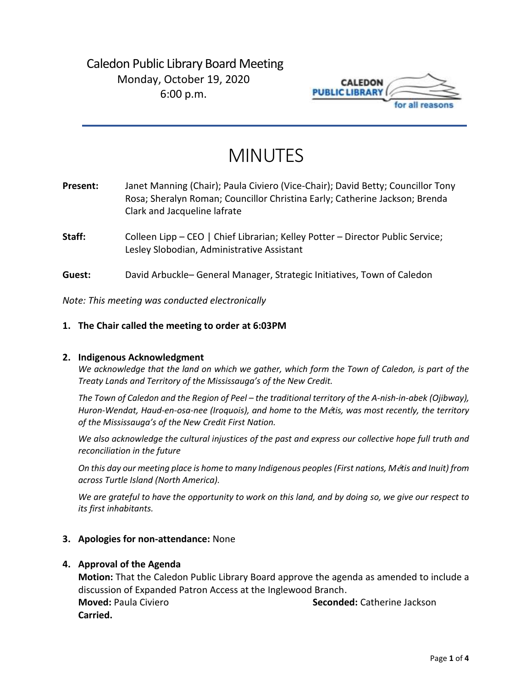## Caledon Public Library Board Meeting Monday, October 19, 2020 6:00 p.m.



# MINUTES

| Present: | Janet Manning (Chair); Paula Civiero (Vice-Chair); David Betty; Councillor Tony |
|----------|---------------------------------------------------------------------------------|
|          | Rosa; Sheralyn Roman; Councillor Christina Early; Catherine Jackson; Brenda     |
|          | Clark and Jacqueline lafrate                                                    |

- Staff: Colleen Lipp CEO | Chief Librarian; Kelley Potter Director Public Service; Lesley Slobodian, Administrative Assistant
- **Guest:** David Arbuckle– General Manager, Strategic Initiatives, Town of Caledon

*Note: This meeting was conducted electronically*

#### **1. The Chair called the meeting to order at 6:03PM**

#### **2. Indigenous Acknowledgment**

*We acknowledge that the land on which we gather, which form the Town of Caledon, is part of the Treaty Lands and Territory of the Mississauga's of the New Credit.* 

*The Town of Caledon and the Region of Peel – the traditional territory of the A-nish-in-abek (Ojibway), Huron-Wendat, Haud-en-osa-nee (Iroquois), and home to the M*é*tis, was most recently, the territory of the Mississauga's of the New Credit First Nation.* 

*We also acknowledge the cultural injustices of the past and express our collective hope full truth and reconciliation in the future*

*On this day our meeting place is home to many Indigenous peoples (First nations, M*é*tis and Inuit) from across Turtle Island (North America).* 

*We are grateful to have the opportunity to work on this land, and by doing so, we give our respect to its first inhabitants.* 

#### **3. Apologies for non-attendance:** None

#### **4. Approval of the Agenda**

**Motion:** That the Caledon Public Library Board approve the agenda as amended to include a discussion of Expanded Patron Access at the Inglewood Branch. **Moved:** Paula Civiero **Seconded:** Catherine Jackson **Carried.**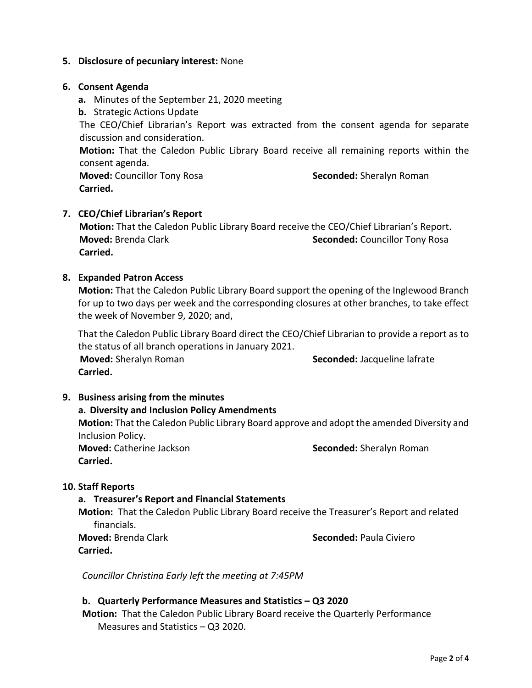#### **5. Disclosure of pecuniary interest:** None

#### **6. Consent Agenda**

- **a.** Minutes of the September 21, 2020 meeting
- **b.** Strategic Actions Update

The CEO/Chief Librarian's Report was extracted from the consent agenda for separate discussion and consideration.

**Motion:** That the Caledon Public Library Board receive all remaining reports within the consent agenda.

**Moved:** Councillor Tony Rosa **Seconded:** Sheralyn Roman  **Carried.** 

#### **7. CEO/Chief Librarian's Report**

 **Motion:** That the Caledon Public Library Board receive the CEO/Chief Librarian's Report. **Moved: Brenda Clark <b>Seconded: Seconded: Councillor Tony Rosa** Seconded: Councillor Tony Rosa  **Carried.**

#### **8. Expanded Patron Access**

**Motion:** That the Caledon Public Library Board support the opening of the Inglewood Branch for up to two days per week and the corresponding closures at other branches, to take effect the week of November 9, 2020; and,

That the Caledon Public Library Board direct the CEO/Chief Librarian to provide a report as to the status of all branch operations in January 2021.

**Moved:** Sheralyn Roman **Seconded:** Jacqueline lafrate **Carried.** 

#### **9. Business arising from the minutes**

## **a. Diversity and Inclusion Policy Amendments Motion:** That the Caledon Public Library Board approve and adopt the amended Diversity and Inclusion Policy. **Moved:** Catherine Jackson **Seconded:** Sheralyn Roman **Carried.**

#### **10. Staff Reports**

#### **a. Treasurer's Report and Financial Statements**

**Motion:** That the Caledon Public Library Board receive the Treasurer's Report and related financials.

**Carried.**

**Moved:** Brenda Clark **Seconded:** Paula Civiero

*Councillor Christina Early left the meeting at 7:45PM*

#### **b. Quarterly Performance Measures and Statistics – Q3 2020**

**Motion:** That the Caledon Public Library Board receive the Quarterly Performance Measures and Statistics – Q3 2020.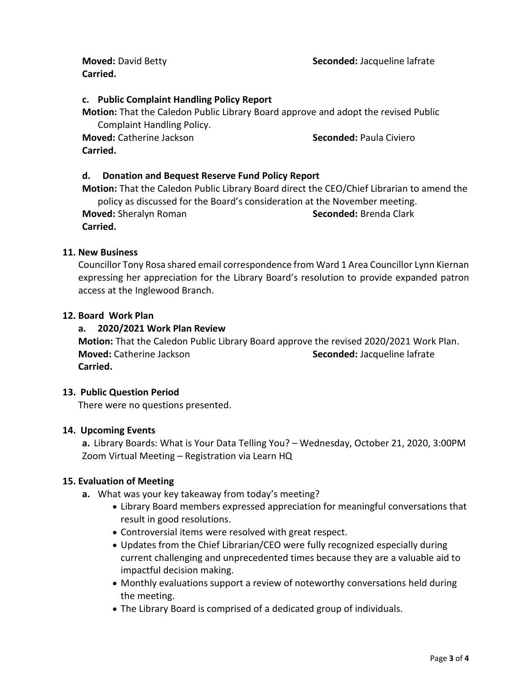**Moved:** David Betty **Seconded:** Jacqueline lafrate

**Carried.** 

## **c. Public Complaint Handling Policy Report**

**Motion:** That the Caledon Public Library Board approve and adopt the revised Public Complaint Handling Policy.

**Moved:** Catherine Jackson **Seconded:** Paula Civiero **Carried.**

## **d. Donation and Bequest Reserve Fund Policy Report**

**Motion:** That the Caledon Public Library Board direct the CEO/Chief Librarian to amend the policy as discussed for the Board's consideration at the November meeting. **Moved:** Sheralyn Roman **Seconded:** Brenda Clark **Carried.** 

## **11. New Business**

Councillor Tony Rosa shared email correspondence from Ward 1 Area Councillor Lynn Kiernan expressing her appreciation for the Library Board's resolution to provide expanded patron access at the Inglewood Branch.

### **12. Board Work Plan**

## **a. 2020/2021 Work Plan Review**

**Motion:** That the Caledon Public Library Board approve the revised 2020/2021 Work Plan. **Moved:** Catherine Jackson **Seconded:** Jacqueline lafrate **Carried.** 

#### **13. Public Question Period**

There were no questions presented.

#### **14. Upcoming Events**

**a.** Library Boards: What is Your Data Telling You? – Wednesday, October 21, 2020, 3:00PM Zoom Virtual Meeting – Registration via Learn HQ

#### **15. Evaluation of Meeting**

- **a.** What was your key takeaway from today's meeting?
	- Library Board members expressed appreciation for meaningful conversations that result in good resolutions.
	- Controversial items were resolved with great respect.
	- Updates from the Chief Librarian/CEO were fully recognized especially during current challenging and unprecedented times because they are a valuable aid to impactful decision making.
	- Monthly evaluations support a review of noteworthy conversations held during the meeting.
	- The Library Board is comprised of a dedicated group of individuals.